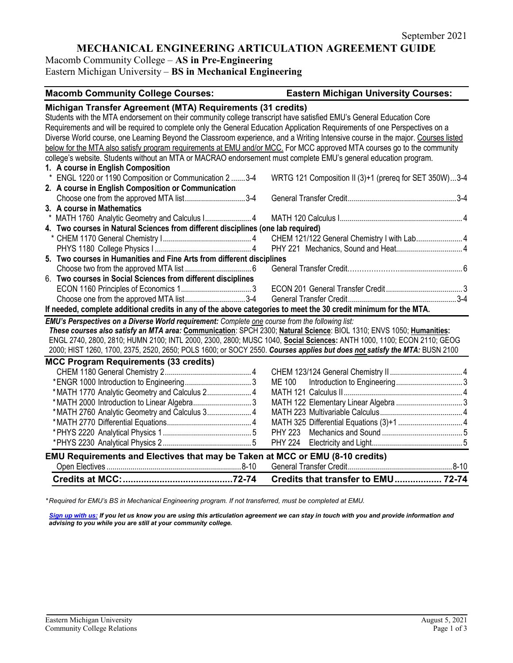## **MECHANICAL ENGINEERING ARTICULATION AGREEMENT GUIDE**

Macomb Community College – **AS in Pre-Engineering**

Eastern Michigan University – **BS in Mechanical Engineering**

#### **Macomb Community College Courses: Eastern Michigan University Courses: Michigan Transfer Agreement (MTA) Requirements (31 credits)** Students with the MTA endorsement on their community college transcript have satisfied EMU's General Education Core Requirements and will be required to complete only the General Education Application Requirements of one Perspectives on a Diverse World course, one Learning Beyond the Classroom experience, and a Writing Intensive course in the major. Courses listed below for the MTA also satisfy program requirements at EMU and/or MCC. For MCC approved MTA courses go to the community college's website. Students without an MTA or MACRAO endorsement must complete EMU's general education program. **1. A course in English Composition** \* ENGL 1220 or 1190 Composition or Communication 2 .......3-4 WRTG 121 Composition II (3)+1 (prereq for SET 350W)...3-4 **2. A course in English Composition or Communication** Choose one from the approved MTA list..............................3-4 General Transfer Credit......................................................3-4 **3. A course in Mathematics** \* MATH 1760 Analytic Geometry and Calculus I....................... 4 MATH 120 Calculus I............................................................. 4 **4. Two courses in Natural Sciences from different disciplines (one lab required)** \* CHEM 1170 General Chemistry I............................................ 4 CHEM 121/122 General Chemistry I with Lab....................... 4 PHYS 1180 College Physics I ................................................ 4 PHY 221 Mechanics, Sound and Heat................................. 4 **5. Two courses in Humanities and Fine Arts from different disciplines** Choose two from the approved MTA list ................................. 6 General Transfer Credit…………………................................ 6 6. **Two courses in Social Sciences from different disciplines** ECON 1160 Principles of Economics 1................................... 3 ECON 201 General Transfer Credit...................................... 3 Choose one from the approved MTA list..................................3-4 **If needed, complete additional credits in any of the above categories to meet the 30 credit minimum for the MTA.** *EMU's Perspectives on a Diverse World requirement: Complete one course from the following list: These courses also satisfy an MTA area:* **Communication**: SPCH 2300; **Natural Science**: BIOL 1310; ENVS 1050; **Humanities:** ENGL 2740, 2800, 2810; HUMN 2100; INTL 2000, 2300, 2800; MUSC 1040, **Social Sciences:** ANTH 1000, 1100; ECON 2110; GEOG 2000; HIST 1260, 1700, 2375, 2520, 2650; POLS 1600; or SOCY 2550. *Courses applies but does not satisfy the MTA:* BUSN 2100 **MCC Program Requirements (33 credits)** CHEM 1180 General Chemistry 2........................................... 4 CHEM 123/124 General Chemistry II .................................... 4 \*ENGR 1000 Introduction to Engineering................................. 3 ME 100 Introduction to Engineering................................. 3 \*MATH 1770 Analytic Geometry and Calculus 2...................... 4 MATH 121 Calculus II........................................................... 4 \*MATH 2000 Introduction to Linear Algebra............................. 3 MATH 122 Elementary Linear Algebra ................................. 3 \*MATH 2760 Analytic Geometry and Calculus 3...................... 4 MATH 223 Multivariable Calculus......................................... 4 \*MATH 2770 Differential Equations.......................................... 4 MATH 325 Differential Equations (3)+1 ................................ 4 \*PHYS 2220 Analytical Physics 1............................................ 5 PHY 223 Mechanics and Sound ........................................ 5 \*PHYS 2230 Analytical Physics 2............................................ 5 PHY 224 Electricity and Light............................................. 5 **EMU Requirements and Electives that may be Taken at MCC or EMU (8-10 credits)** Open Electives ...................................................................8-10 General Transfer Credit....................................................8-10 **Credits at MCC:..........................................72-74 Credits that transfer to EMU.................. 72-74**

*\* Required for EMU's BS in Mechanical Engineering program. If not transferred, must be completed at EMU.* 

*[Sign up with us:](https://www.emich.edu/ccr/articulation-agreements/signup.php) If you let us know you are using this articulation agreement we can stay in touch with you and provide information and advising to you while you are still at your community college.*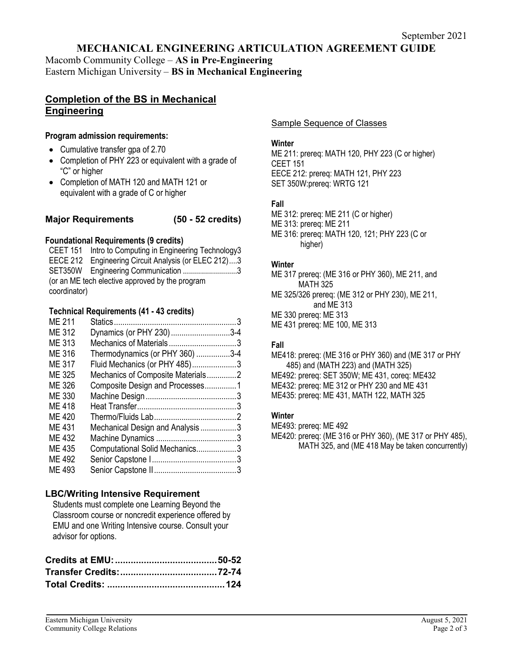## **MECHANICAL ENGINEERING ARTICULATION AGREEMENT GUIDE**

Macomb Community College – **AS in Pre-Engineering** Eastern Michigan University – **BS in Mechanical Engineering**

# **Completion of the BS in Mechanical Engineering**

#### **Program admission requirements:**

- Cumulative transfer gpa of 2.70
- Completion of PHY 223 or equivalent with a grade of "C" or higher
- Completion of MATH 120 and MATH 121 or equivalent with a grade of C or higher

#### **Major Requirements (50 - 52 credits)**

### **Foundational Requirements (9 credits)**

CEET 151 Intro to Computing in Engineering Technology3 EECE 212 Engineering Circuit Analysis (or ELEC 212)....3 SET350W Engineering Communication ...........................3 (or an ME tech elective approved by the program coordinator)

### **Technical Requirements (41 - 43 credits)**

| <b>ME 211</b> |                                   |  |
|---------------|-----------------------------------|--|
| <b>ME 312</b> | Dynamics (or PHY 230)3-4          |  |
| <b>ME 313</b> | Mechanics of Materials3           |  |
| ME 316        | Thermodynamics (or PHY 360) 3-4   |  |
| ME 317        | Fluid Mechanics (or PHY 485)3     |  |
| ME 325        | Mechanics of Composite Materials2 |  |
| ME 326        | Composite Design and Processes1   |  |
| ME 330        |                                   |  |
| ME 418        |                                   |  |
| ME 420        |                                   |  |
| ME 431        | Mechanical Design and Analysis3   |  |
| ME 432        |                                   |  |
| <b>ME435</b>  | Computational Solid Mechanics3    |  |
| ME 492        |                                   |  |
| ME 493        |                                   |  |
|               |                                   |  |

### **LBC/Writing Intensive Requirement**

Students must complete one Learning Beyond the Classroom course or noncredit experience offered by EMU and one Writing Intensive course. Consult your advisor for options.

Sample Sequence of Classes

### **Winter**

ME 211: prereq: MATH 120, PHY 223 (C or higher) CEET 151 EECE 212: prereq: MATH 121, PHY 223 SET 350W:prereq: WRTG 121

### **Fall**

ME 312: prereq: ME 211 (C or higher)

ME 313: prereq: ME 211

ME 316: prereq: MATH 120, 121; PHY 223 (C or higher)

### **Winter**

- ME 317 prereq: (ME 316 or PHY 360), ME 211, and MATH 325
- ME 325/326 prereq: (ME 312 or PHY 230), ME 211, and ME 313
- ME 330 prereq: ME 313
- ME 431 prereq: ME 100, ME 313

### **Fall**

ME418: prereq: (ME 316 or PHY 360) and (ME 317 or PHY 485) and (MATH 223) and (MATH 325) ME492: prereq: SET 350W; ME 431, coreq: ME432 ME432: prereq: ME 312 or PHY 230 and ME 431 ME435: prereq: ME 431, MATH 122, MATH 325

#### **Winter**

- ME493: prereq: ME 492
- ME420: prereq: (ME 316 or PHY 360), (ME 317 or PHY 485), MATH 325, and (ME 418 May be taken concurrently)